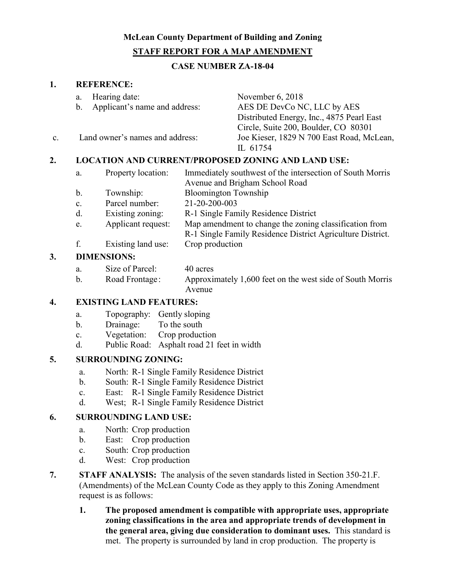# **McLean County Department of Building and Zoning STAFF REPORT FOR A MAP AMENDMENT**

### **CASE NUMBER ZA-18-04**

#### **1. REFERENCE:**

|    | Hearing date:<br>a.<br>Applicant's name and address:<br>$\mathbf{b}$ . |                                                              |                             | November 6, 2018                                                                                                                                                                                                                                                                                                  |  |
|----|------------------------------------------------------------------------|--------------------------------------------------------------|-----------------------------|-------------------------------------------------------------------------------------------------------------------------------------------------------------------------------------------------------------------------------------------------------------------------------------------------------------------|--|
|    |                                                                        |                                                              |                             | AES DE DevCo NC, LLC by AES                                                                                                                                                                                                                                                                                       |  |
|    |                                                                        |                                                              |                             | Distributed Energy, Inc., 4875 Pearl East                                                                                                                                                                                                                                                                         |  |
|    |                                                                        |                                                              |                             | Circle, Suite 200, Boulder, CO 80301                                                                                                                                                                                                                                                                              |  |
| C. | Land owner's names and address:                                        |                                                              |                             | Joe Kieser, 1829 N 700 East Road, McLean,                                                                                                                                                                                                                                                                         |  |
|    |                                                                        |                                                              |                             | IL 61754                                                                                                                                                                                                                                                                                                          |  |
| 2. |                                                                        | <b>LOCATION AND CURRENT/PROPOSED ZONING AND LAND USE:</b>    |                             |                                                                                                                                                                                                                                                                                                                   |  |
|    | Property location:<br>a.                                               |                                                              |                             | Immediately southwest of the intersection of South Morris                                                                                                                                                                                                                                                         |  |
|    |                                                                        | Avenue and Brigham School Road                               |                             |                                                                                                                                                                                                                                                                                                                   |  |
|    | b.                                                                     | Township:                                                    | <b>Bloomington Township</b> |                                                                                                                                                                                                                                                                                                                   |  |
|    | $\mathbf{c}$ .                                                         | Parcel number:                                               | 21-20-200-003               |                                                                                                                                                                                                                                                                                                                   |  |
|    | $\mathbf{I}$                                                           | $\mathbf{D}$ and the set of a set of the set of $\mathbf{D}$ |                             | $\mathbf{D}$ , 1, $\mathbf{C}$ , 1, $\mathbf{D}$ , $\mathbf{D}$ , 1, $\mathbf{D}$ , 1, 1, $\mathbf{D}$ , 1, $\mathbf{D}$ , 1, $\mathbf{D}$ , 1, $\mathbf{D}$ , 1, $\mathbf{D}$ , 1, $\mathbf{D}$ , 1, $\mathbf{D}$ , 1, $\mathbf{D}$ , 1, $\mathbf{D}$ , 1, $\mathbf{D}$ , 1, $\mathbf{D}$ , 1, $\mathbf{D}$ , 1, |  |

- d. Existing zoning: R-1 Single Family Residence District
- e. Applicant request: Map amendment to change the zoning classification from
	- R-1 Single Family Residence District Agriculture District.
- f. Existing land use: Crop production

### **3. DIMENSIONS:**

- a. Size of Parcel: 40 acres
- b. Road Frontage: Approximately 1,600 feet on the west side of South Morris Avenue

## **4. EXISTING LAND FEATURES:**

- a. Topography: Gently sloping
- b. Drainage: To the south
- c. Vegetation: Crop production
- d. Public Road: Asphalt road 21 feet in width

## **5. SURROUNDING ZONING:**

- a. North: R-1 Single Family Residence District
- b. South: R-1 Single Family Residence District
- c. East: R-1 Single Family Residence District
- d. West; R-1 Single Family Residence District

## **6. SURROUNDING LAND USE:**

- a. North: Crop production
- b. East: Crop production
- c. South: Crop production
- d. West: Crop production
- **7. STAFF ANALYSIS:** The analysis of the seven standards listed in Section 350-21.F. (Amendments) of the McLean County Code as they apply to this Zoning Amendment request is as follows:
	- **1. The proposed amendment is compatible with appropriate uses, appropriate zoning classifications in the area and appropriate trends of development in the general area, giving due consideration to dominant uses.** This standard is met. The property is surrounded by land in crop production. The property is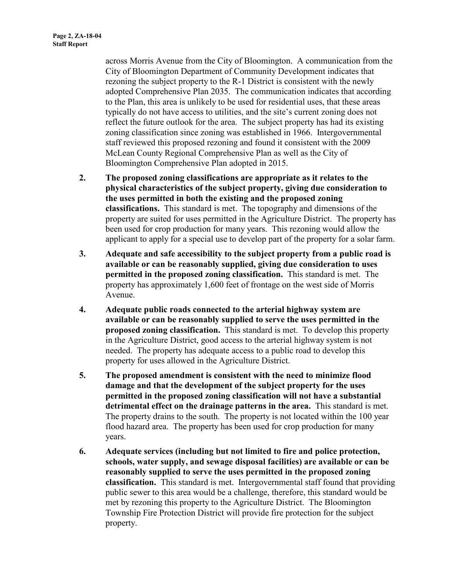across Morris Avenue from the City of Bloomington. A communication from the City of Bloomington Department of Community Development indicates that rezoning the subject property to the R-1 District is consistent with the newly adopted Comprehensive Plan 2035. The communication indicates that according to the Plan, this area is unlikely to be used for residential uses, that these areas typically do not have access to utilities, and the site's current zoning does not reflect the future outlook for the area. The subject property has had its existing zoning classification since zoning was established in 1966. Intergovernmental staff reviewed this proposed rezoning and found it consistent with the 2009 McLean County Regional Comprehensive Plan as well as the City of Bloomington Comprehensive Plan adopted in 2015.

- **2. The proposed zoning classifications are appropriate as it relates to the physical characteristics of the subject property, giving due consideration to the uses permitted in both the existing and the proposed zoning classifications.** This standard is met. The topography and dimensions of the property are suited for uses permitted in the Agriculture District. The property has been used for crop production for many years. This rezoning would allow the applicant to apply for a special use to develop part of the property for a solar farm.
- **3. Adequate and safe accessibility to the subject property from a public road is available or can be reasonably supplied, giving due consideration to uses permitted in the proposed zoning classification.** This standard is met. The property has approximately 1,600 feet of frontage on the west side of Morris Avenue.
- **4. Adequate public roads connected to the arterial highway system are available or can be reasonably supplied to serve the uses permitted in the proposed zoning classification.** This standard is met. To develop this property in the Agriculture District, good access to the arterial highway system is not needed. The property has adequate access to a public road to develop this property for uses allowed in the Agriculture District.
- **5. The proposed amendment is consistent with the need to minimize flood damage and that the development of the subject property for the uses permitted in the proposed zoning classification will not have a substantial detrimental effect on the drainage patterns in the area.** This standard is met. The property drains to the south. The property is not located within the 100 year flood hazard area. The property has been used for crop production for many years.
- **6. Adequate services (including but not limited to fire and police protection, schools, water supply, and sewage disposal facilities) are available or can be reasonably supplied to serve the uses permitted in the proposed zoning classification.** This standard is met. Intergovernmental staff found that providing public sewer to this area would be a challenge, therefore, this standard would be met by rezoning this property to the Agriculture District. The Bloomington Township Fire Protection District will provide fire protection for the subject property.